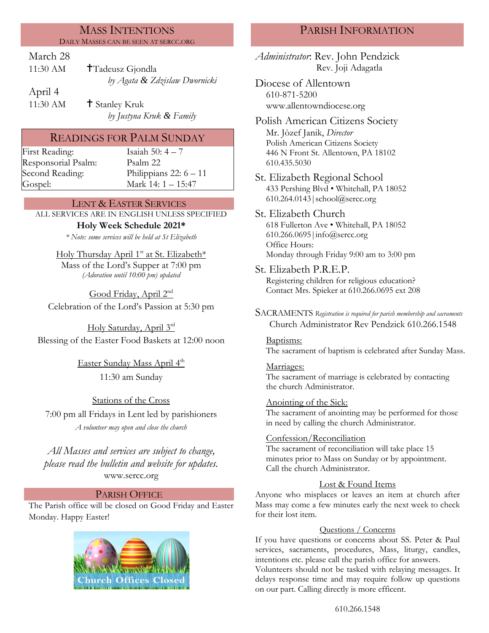### MASS INTENTIONS DAILY MASSES CAN BE SEEN AT SERCC.ORG

# March 28

11:30 AM **T**Tadeusz Gjondla *by Agata & Zdzislaw Dwornicki*

April 4

11:30 AM  $\uparrow$  Stanley Kruk *by Justyna Kruk & Family*

# READINGS FOR PALM SUNDAY

First Reading: Isaiah 50: 4 – 7 Responsorial Psalm: [Psalm](http://www.usccb.org/bible/readings/bible/psalms/25:4) 22

Second Reading: Philippians 22: 6 – 11 Gospel: Mark 14: 1 – 15:47

# LENT & EASTER SERVICES

ALL SERVICES ARE IN ENGLISH UNLESS SPECIFIED **Holy Week Schedule 2021\***

*\* Note: some services will be held at St Elizabeth*

Holy Thursday April 1<sup>st</sup> at St. Elizabeth\* Mass of the Lord's Supper at 7:00 pm *(Adoration until 10:00 pm) updated*

Good Friday, April 2<sup>nd</sup> Celebration of the Lord's Passion at 5:30 pm

Holy Saturday, April 3rd Blessing of the Easter Food Baskets at 12:00 noon

> <u>Easter Sunday Mass April 4<sup>th</sup></u> 11:30 am Sunday

Stations of the Cross 7:00 pm all Fridays in Lent led by parishioners *A volunteer may open and close the church*

*All Masses and services are subject to change, please read the bulletin and website for updates.* www.sercc.org

# PARISH OFFICE

The Parish office will be closed on Good Friday and Easter Monday. Happy Easter!



# PARISH INFORMATION

*Administrator*: Rev. John Pendzick Rev. Joji Adagatla

Diocese of Allentown 610-871-5200 www.allentowndiocese.org

Polish American Citizens Society Mr. Jòzef Janik, *Director* Polish American Citizens Society 446 N Front St. Allentown, PA 18102 610.435.5030

St. Elizabeth Regional School 433 Pershing Blvd • Whitehall, PA 18052 610.264.0143|school@sercc.org

St. Elizabeth Church 618 Fullerton Ave • Whitehall, PA 18052 610.266.0695|info@sercc.org Office Hours: Monday through Friday 9:00 am to 3:00 pm

- St. Elizabeth P.R.E.P. Registering children for religious education? Contact Mrs. Spieker at 610.266.0695 ext 208
- SACRAMENTS *Registration is required for parish membership and sacraments* Church Administrator Rev Pendzick 610.266.1548

Baptisms:

The sacrament of baptism is celebrated after Sunday Mass.

Marriages: The sacrament of marriage is celebrated by contacting the church Administrator.

Anointing of the Sick:

The sacrament of anointing may be performed for those in need by calling the church Administrator.

# Confession/Reconciliation

The sacrament of reconciliation will take place 15 minutes prior to Mass on Sunday or by appointment. Call the church Administrator.

# Lost & Found Items

Anyone who misplaces or leaves an item at church after Mass may come a few minutes early the next week to check for their lost item.

### Questions / Concerns

If you have questions or concerns about SS. Peter & Paul services, sacraments, procedures, Mass, liturgy, candles, intentions etc. please call the parish office for answers.

Volunteers should not be tasked with relaying messages. It delays response time and may require follow up questions on our part. Calling directly is more efficent.